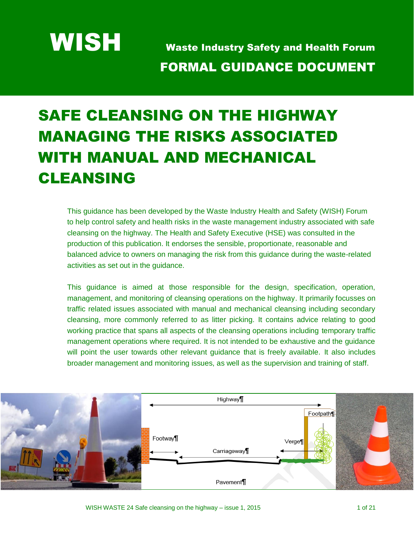WISH Waste Industry Safety and Health Forum FORMAL GUIDANCE DOCUMENT

# SAFE CLEANSING ON THE HIGHWAY MANAGING THE RISKS ASSOCIATED WITH MANUAL AND MECHANICAL CLEANSING

This guidance has been developed by the Waste Industry Health and Safety (WISH) Forum to help control safety and health risks in the waste management industry associated with safe cleansing on the highway. The Health and Safety Executive (HSE) was consulted in the production of this publication. It endorses the sensible, proportionate, reasonable and balanced advice to owners on managing the risk from this guidance during the waste-related activities as set out in the guidance.

This guidance is aimed at those responsible for the design, specification, operation, management, and monitoring of cleansing operations on the highway. It primarily focusses on traffic related issues associated with manual and mechanical cleansing including secondary cleansing, more commonly referred to as litter picking. It contains advice relating to good working practice that spans all aspects of the cleansing operations including temporary traffic management operations where required. It is not intended to be exhaustive and the guidance will point the user towards other relevant guidance that is freely available. It also includes broader management and monitoring issues, as well as the supervision and training of staff.

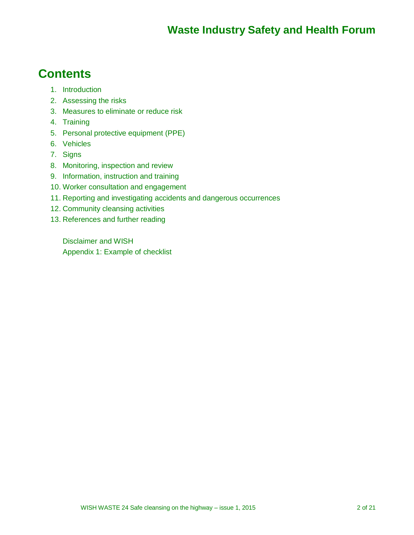#### **Contents**

- 1. Introduction
- 2. Assessing the risks
- 3. Measures to eliminate or reduce risk
- 4. Training
- 5. Personal protective equipment (PPE)
- 6. Vehicles
- 7. Signs
- 8. Monitoring, inspection and review
- 9. Information, instruction and training
- 10. Worker consultation and engagement
- 11. Reporting and investigating accidents and dangerous occurrences
- 12. Community cleansing activities
- 13. References and further reading

Disclaimer and WISH Appendix 1: Example of checklist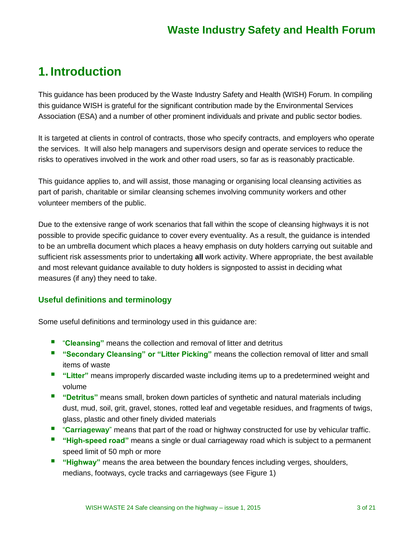#### **1. Introduction**

This guidance has been produced by the Waste Industry Safety and Health (WISH) Forum. In compiling this guidance WISH is grateful for the significant contribution made by the Environmental Services Association (ESA) and a number of other prominent individuals and private and public sector bodies.

It is targeted at clients in control of contracts, those who specify contracts, and employers who operate the services. It will also help managers and supervisors design and operate services to reduce the risks to operatives involved in the work and other road users, so far as is reasonably practicable.

This guidance applies to, and will assist, those managing or organising local cleansing activities as part of parish, charitable or similar cleansing schemes involving community workers and other volunteer members of the public.

Due to the extensive range of work scenarios that fall within the scope of cleansing highways it is not possible to provide specific guidance to cover every eventuality. As a result, the guidance is intended to be an umbrella document which places a heavy emphasis on duty holders carrying out suitable and sufficient risk assessments prior to undertaking **all** work activity. Where appropriate, the best available and most relevant guidance available to duty holders is signposted to assist in deciding what measures (if any) they need to take.

#### **Useful definitions and terminology**

Some useful definitions and terminology used in this guidance are:

- **"** "**Cleansing**" means the collection and removal of litter and detritus
- **"Secondary Cleansing" or "Litter Picking"** means the collection removal of litter and small items of waste
- **"** "Litter" means improperly discarded waste including items up to a predetermined weight and volume
- **"Detritus"** means small, broken down particles of synthetic and natural materials including dust, mud, soil, grit, gravel, stones, rotted leaf and vegetable residues, and fragments of twigs, glass, plastic and other finely divided materials
- **"** "Carriageway" means that part of the road or highway constructed for use by vehicular traffic.
- **"High-speed road"** means a single or dual carriageway road which is subject to a permanent speed limit of 50 mph or more
- **"** "Highway" means the area between the boundary fences including verges, shoulders, medians, footways, cycle tracks and carriageways (see Figure 1)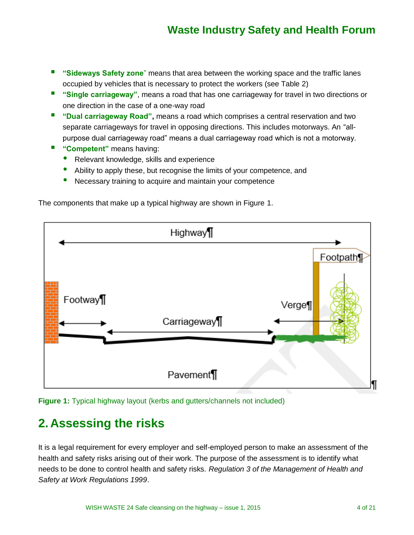- **"** "Sideways Safety zone" means that area between the working space and the traffic lanes occupied by vehicles that is necessary to protect the workers (see Table 2)
- **"** "Single carriageway", means a road that has one carriageway for travel in two directions or one direction in the case of a one-way road
- **"** "Dual carriageway Road", means a road which comprises a central reservation and two separate carriageways for travel in opposing directions. This includes motorways. An "allpurpose dual carriageway road" means a dual carriageway road which is not a motorway.
- **"Competent"** means having:
	- Relevant knowledge, skills and experience
	- Ability to apply these, but recognise the limits of your competence, and
	- Necessary training to acquire and maintain your competence



The components that make up a typical highway are shown in Figure 1.

**Figure 1:** Typical highway layout (kerbs and gutters/channels not included)

### **2. Assessing the risks**

It is a legal requirement for every employer and self-employed person to make an assessment of the health and safety risks arising out of their work. The purpose of the assessment is to identify what needs to be done to control health and safety risks. *Regulation 3 of the Management of Health and Safety at Work Regulations 1999*.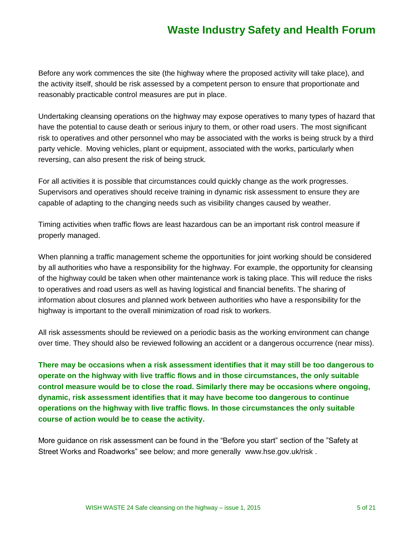Before any work commences the site (the highway where the proposed activity will take place), and the activity itself, should be risk assessed by a competent person to ensure that proportionate and reasonably practicable control measures are put in place.

Undertaking cleansing operations on the highway may expose operatives to many types of hazard that have the potential to cause death or serious injury to them, or other road users. The most significant risk to operatives and other personnel who may be associated with the works is being struck by a third party vehicle. Moving vehicles, plant or equipment, associated with the works, particularly when reversing, can also present the risk of being struck.

For all activities it is possible that circumstances could quickly change as the work progresses. Supervisors and operatives should receive training in dynamic risk assessment to ensure they are capable of adapting to the changing needs such as visibility changes caused by weather.

Timing activities when traffic flows are least hazardous can be an important risk control measure if properly managed.

When planning a traffic management scheme the opportunities for joint working should be considered by all authorities who have a responsibility for the highway. For example, the opportunity for cleansing of the highway could be taken when other maintenance work is taking place. This will reduce the risks to operatives and road users as well as having logistical and financial benefits. The sharing of information about closures and planned work between authorities who have a responsibility for the highway is important to the overall minimization of road risk to workers.

All risk assessments should be reviewed on a periodic basis as the working environment can change over time. They should also be reviewed following an accident or a dangerous occurrence (near miss).

**There may be occasions when a risk assessment identifies that it may still be too dangerous to operate on the highway with live traffic flows and in those circumstances, the only suitable control measure would be to close the road. Similarly there may be occasions where ongoing, dynamic, risk assessment identifies that it may have become too dangerous to continue operations on the highway with live traffic flows. In those circumstances the only suitable course of action would be to cease the activity.** 

More guidance on risk assessment can be found in the "Before you start" section of the "Safety at Street Works and Roadworks" see below; and more generally [www.hse.gov.uk/risk](http://www.hse.gov.uk/risk) .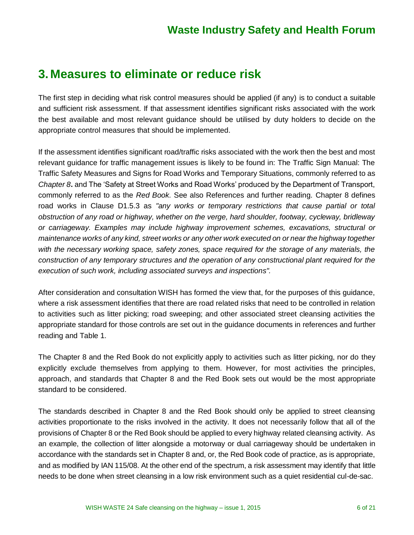#### **3. Measures to eliminate or reduce risk**

The first step in deciding what risk control measures should be applied (if any) is to conduct a suitable and sufficient risk assessment. If that assessment identifies significant risks associated with the work the best available and most relevant guidance should be utilised by duty holders to decide on the appropriate control measures that should be implemented.

If the assessment identifies significant road/traffic risks associated with the work then the best and most relevant guidance for traffic management issues is likely to be found in: The Traffic Sign Manual: The Traffic Safety Measures and Signs for Road Works and Temporary Situations, commonly referred to as *Chapter 8***.** and The 'Safety at Street Works and Road Works' produced by the Department of Transport, commonly referred to as the *Red Book.* See also References and further reading. Chapter 8 defines road works in Clause D1.5.3 as *"any works or temporary restrictions that cause partial or total obstruction of any road or highway, whether on the verge, hard shoulder, footway, cycleway, bridleway or carriageway. Examples may include highway improvement schemes, excavations, structural or maintenance works of any kind, street works or any other work executed on or near the highway together with the necessary working space, safety zones, space required for the storage of any materials, the construction of any temporary structures and the operation of any constructional plant required for the execution of such work, including associated surveys and inspections".*

After consideration and consultation WISH has formed the view that, for the purposes of this guidance, where a risk assessment identifies that there are road related risks that need to be controlled in relation to activities such as litter picking; road sweeping; and other associated street cleansing activities the appropriate standard for those controls are set out in the guidance documents in references and further reading and Table 1.

The Chapter 8 and the Red Book do not explicitly apply to activities such as litter picking, nor do they explicitly exclude themselves from applying to them. However, for most activities the principles, approach, and standards that Chapter 8 and the Red Book sets out would be the most appropriate standard to be considered.

The standards described in Chapter 8 and the Red Book should only be applied to street cleansing activities proportionate to the risks involved in the activity. It does not necessarily follow that all of the provisions of Chapter 8 or the Red Book should be applied to every highway related cleansing activity. As an example, the collection of litter alongside a motorway or dual carriageway should be undertaken in accordance with the standards set in Chapter 8 and, or, the Red Book code of practice, as is appropriate, and as modified by IAN 115/08. At the other end of the spectrum, a risk assessment may identify that little needs to be done when street cleansing in a low risk environment such as a quiet residential cul-de-sac.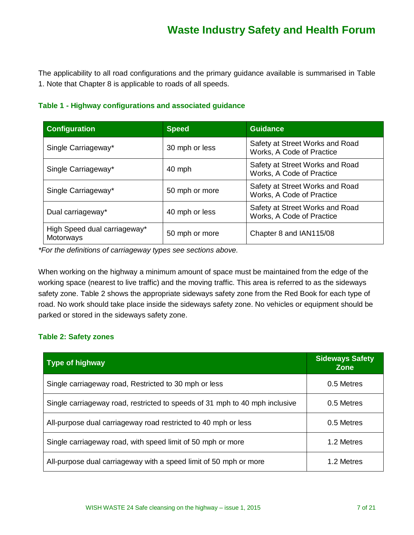The applicability to all road configurations and the primary guidance available is summarised in Table 1. Note that Chapter 8 is applicable to roads of all speeds.

#### **Table 1 - Highway configurations and associated guidance**

| <b>Configuration</b>                      | <b>Speed</b>   | <b>Guidance</b>                                              |
|-------------------------------------------|----------------|--------------------------------------------------------------|
| Single Carriageway*                       | 30 mph or less | Safety at Street Works and Road<br>Works, A Code of Practice |
| Single Carriageway*                       | 40 mph         | Safety at Street Works and Road<br>Works, A Code of Practice |
| Single Carriageway*                       | 50 mph or more | Safety at Street Works and Road<br>Works, A Code of Practice |
| Dual carriageway*                         | 40 mph or less | Safety at Street Works and Road<br>Works, A Code of Practice |
| High Speed dual carriageway*<br>Motorways | 50 mph or more | Chapter 8 and IAN115/08                                      |

*\*For the definitions of carriageway types see sections above.*

When working on the highway a minimum amount of space must be maintained from the edge of the working space (nearest to live traffic) and the moving traffic. This area is referred to as the sideways safety zone. Table 2 shows the appropriate sideways safety zone from the Red Book for each type of road. No work should take place inside the sideways safety zone. No vehicles or equipment should be parked or stored in the sideways safety zone.

#### **Table 2: Safety zones**

| <b>Type of highway</b>                                                      | <b>Sideways Safety</b><br><b>Zone</b> |
|-----------------------------------------------------------------------------|---------------------------------------|
| Single carriageway road, Restricted to 30 mph or less                       | 0.5 Metres                            |
| Single carriageway road, restricted to speeds of 31 mph to 40 mph inclusive | 0.5 Metres                            |
| All-purpose dual carriageway road restricted to 40 mph or less              | 0.5 Metres                            |
| Single carriageway road, with speed limit of 50 mph or more                 | 1.2 Metres                            |
| All-purpose dual carriageway with a speed limit of 50 mph or more           | 1.2 Metres                            |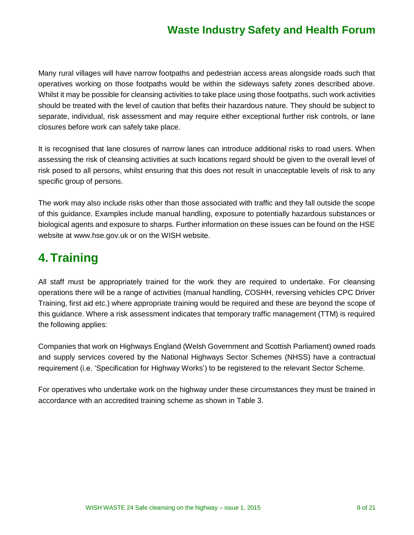Many rural villages will have narrow footpaths and pedestrian access areas alongside roads such that operatives working on those footpaths would be within the sideways safety zones described above. Whilst it may be possible for cleansing activities to take place using those footpaths, such work activities should be treated with the level of caution that befits their hazardous nature. They should be subject to separate, individual, risk assessment and may require either exceptional further risk controls, or lane closures before work can safely take place.

It is recognised that lane closures of narrow lanes can introduce additional risks to road users. When assessing the risk of cleansing activities at such locations regard should be given to the overall level of risk posed to all persons, whilst ensuring that this does not result in unacceptable levels of risk to any specific group of persons.

The work may also include risks other than those associated with traffic and they fall outside the scope of this guidance. Examples include manual handling, exposure to potentially hazardous substances or biological agents and exposure to sharps. Further information on these issues can be found on the HSE website at [www.hse.gov.uk](http://www.hse.gov.uk/) or on the WISH website.

### **4.Training**

All staff must be appropriately trained for the work they are required to undertake. For cleansing operations there will be a range of activities (manual handling, COSHH, reversing vehicles CPC Driver Training, first aid etc.) where appropriate training would be required and these are beyond the scope of this guidance. Where a risk assessment indicates that temporary traffic management (TTM) is required the following applies:

Companies that work on Highways England (Welsh Government and Scottish Parliament) owned roads and supply services covered by the National Highways Sector Schemes (NHSS) have a contractual requirement (i.e. 'Specification for Highway Works') to be registered to the relevant Sector Scheme.

For operatives who undertake work on the highway under these circumstances they must be trained in accordance with an accredited training scheme as shown in Table 3.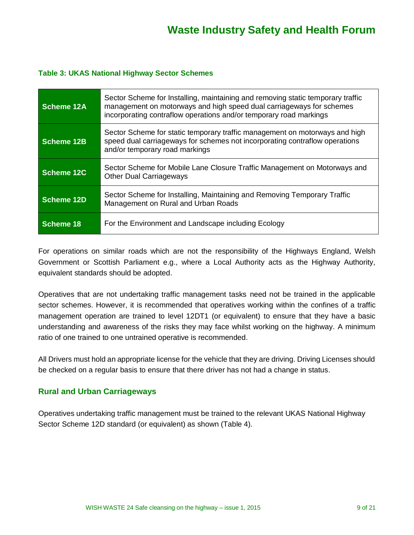#### **Table 3: UKAS National Highway Sector Schemes**

| Scheme 12A | Sector Scheme for Installing, maintaining and removing static temporary traffic<br>management on motorways and high speed dual carriageways for schemes<br>incorporating contraflow operations and/or temporary road markings |
|------------|-------------------------------------------------------------------------------------------------------------------------------------------------------------------------------------------------------------------------------|
| Scheme 12B | Sector Scheme for static temporary traffic management on motorways and high<br>speed dual carriageways for schemes not incorporating contraflow operations<br>and/or temporary road markings                                  |
| Scheme 12C | Sector Scheme for Mobile Lane Closure Traffic Management on Motorways and<br><b>Other Dual Carriageways</b>                                                                                                                   |
| Scheme 12D | Sector Scheme for Installing, Maintaining and Removing Temporary Traffic<br>Management on Rural and Urban Roads                                                                                                               |
| Scheme 18  | For the Environment and Landscape including Ecology                                                                                                                                                                           |

For operations on similar roads which are not the responsibility of the Highways England, Welsh Government or Scottish Parliament e.g., where a Local Authority acts as the Highway Authority, equivalent standards should be adopted.

Operatives that are not undertaking traffic management tasks need not be trained in the applicable sector schemes. However, it is recommended that operatives working within the confines of a traffic management operation are trained to level 12DT1 (or equivalent) to ensure that they have a basic understanding and awareness of the risks they may face whilst working on the highway. A minimum ratio of one trained to one untrained operative is recommended.

All Drivers must hold an appropriate license for the vehicle that they are driving. Driving Licenses should be checked on a regular basis to ensure that there driver has not had a change in status.

#### **Rural and Urban Carriageways**

Operatives undertaking traffic management must be trained to the relevant UKAS National Highway Sector Scheme 12D standard (or equivalent) as shown (Table 4).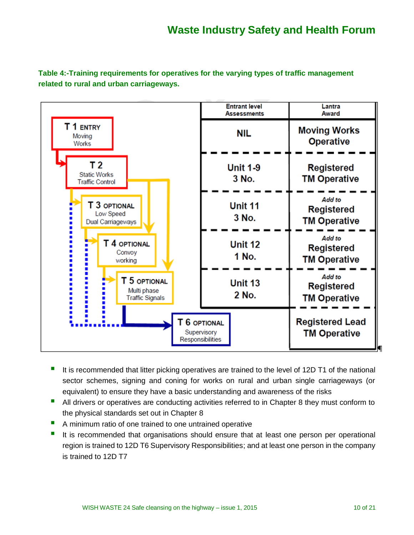**Table 4:-Training requirements for operatives for the varying types of traffic management related to rural and urban carriageways.** 



- It is recommended that litter picking operatives are trained to the level of 12D T1 of the national sector schemes, signing and coning for works on rural and urban single carriageways (or equivalent) to ensure they have a basic understanding and awareness of the risks
- **All drivers or operatives are conducting activities referred to in Chapter 8 they must conform to** the physical standards set out in Chapter 8
- A minimum ratio of one trained to one untrained operative
- It is recommended that organisations should ensure that at least one person per operational region is trained to 12D T6 Supervisory Responsibilities; and at least one person in the company is trained to 12D T7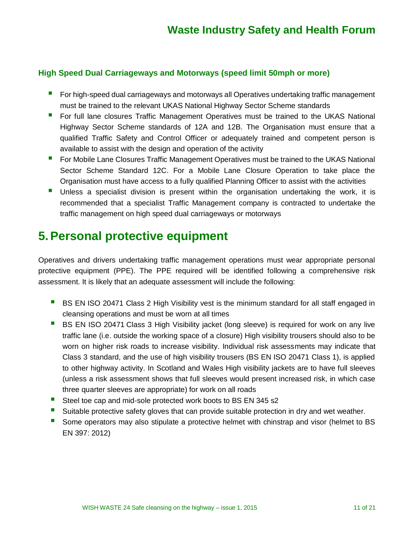#### **High Speed Dual Carriageways and Motorways (speed limit 50mph or more)**

- For high-speed dual carriageways and motorways all Operatives undertaking traffic management must be trained to the relevant UKAS National Highway Sector Scheme standards
- **F** For full lane closures Traffic Management Operatives must be trained to the UKAS National Highway Sector Scheme standards of 12A and 12B. The Organisation must ensure that a qualified Traffic Safety and Control Officer or adequately trained and competent person is available to assist with the design and operation of the activity
- **F** For Mobile Lane Closures Traffic Management Operatives must be trained to the UKAS National Sector Scheme Standard 12C. For a Mobile Lane Closure Operation to take place the Organisation must have access to a fully qualified Planning Officer to assist with the activities
- Unless a specialist division is present within the organisation undertaking the work, it is recommended that a specialist Traffic Management company is contracted to undertake the traffic management on high speed dual carriageways or motorways

#### **5.Personal protective equipment**

Operatives and drivers undertaking traffic management operations must wear appropriate personal protective equipment (PPE). The PPE required will be identified following a comprehensive risk assessment. It is likely that an adequate assessment will include the following:

- **BI** BS EN ISO 20471 Class 2 High Visibility vest is the minimum standard for all staff engaged in cleansing operations and must be worn at all times
- **BS EN ISO 20471 Class 3 High Visibility jacket (long sleeve) is required for work on any live** traffic lane (i.e. outside the working space of a closure) High visibility trousers should also to be worn on higher risk roads to increase visibility. Individual risk assessments may indicate that Class 3 standard, and the use of high visibility trousers (BS EN ISO 20471 Class 1), is applied to other highway activity. In Scotland and Wales High visibility jackets are to have full sleeves (unless a risk assessment shows that full sleeves would present increased risk, in which case three quarter sleeves are appropriate) for work on all roads
- Steel toe cap and mid-sole protected work boots to BS EN 345 s2
- Suitable protective safety gloves that can provide suitable protection in dry and wet weather.
- **Some operators may also stipulate a protective helmet with chinstrap and visor (helmet to BS** EN 397: 2012)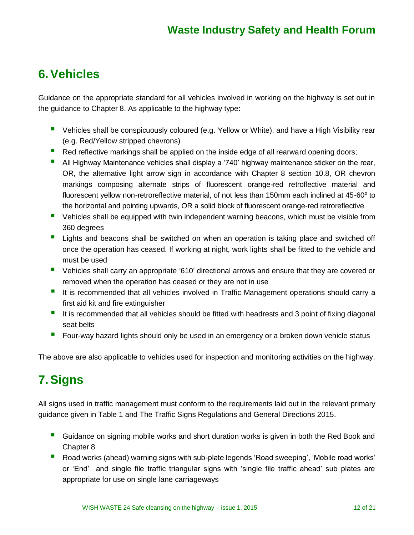### **6.Vehicles**

Guidance on the appropriate standard for all vehicles involved in working on the highway is set out in the guidance to Chapter 8. As applicable to the highway type:

- **U** Vehicles shall be conspicuously coloured (e.g. Yellow or White), and have a High Visibility rear (e.g. Red/Yellow stripped chevrons)
- Red reflective markings shall be applied on the inside edge of all rearward opening doors;
- **All Highway Maintenance vehicles shall display a '740' highway maintenance sticker on the rear,** OR, the alternative light arrow sign in accordance with Chapter 8 section 10.8, OR chevron markings composing alternate strips of fluorescent orange-red retroflective material and fluorescent yellow non-retroreflective material, of not less than 150mm each inclined at 45-60 $^{\circ}$  to the horizontal and pointing upwards, OR a solid block of fluorescent orange-red retroreflective
- Vehicles shall be equipped with twin independent warning beacons, which must be visible from 360 degrees
- **Lights and beacons shall be switched on when an operation is taking place and switched off** once the operation has ceased. If working at night, work lights shall be fitted to the vehicle and must be used
- **•** Vehicles shall carry an appropriate '610' directional arrows and ensure that they are covered or removed when the operation has ceased or they are not in use
- It is recommended that all vehicles involved in Traffic Management operations should carry a first aid kit and fire extinguisher
- It is recommended that all vehicles should be fitted with headrests and 3 point of fixing diagonal seat belts
- **F** Four-way hazard lights should only be used in an emergency or a broken down vehicle status

The above are also applicable to vehicles used for inspection and monitoring activities on the highway.

## **7.Signs**

All signs used in traffic management must conform to the requirements laid out in the relevant primary guidance given in Table 1 and The Traffic Signs Regulations and General Directions 2015.

- Guidance on signing mobile works and short duration works is given in both the Red Book and Chapter 8
- Road works (ahead) warning signs with sub-plate legends 'Road sweeping', 'Mobile road works' or 'End' and single file traffic triangular signs with 'single file traffic ahead' sub plates are appropriate for use on single lane carriageways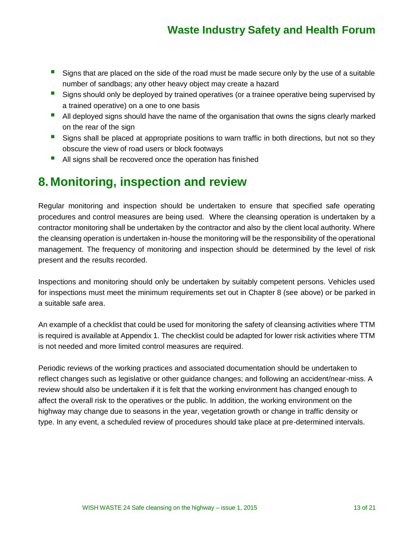- Signs that are placed on the side of the road must be made secure only by the use of a suitable number of sandbags; any other heavy object may create a hazard
- Signs should only be deployed by trained operatives (or a trainee operative being supervised by a trained operative) on a one to one basis
- **All deployed signs should have the name of the organisation that owns the signs clearly marked** on the rear of the sign
- Signs shall be placed at appropriate positions to warn traffic in both directions, but not so they obscure the view of road users or block footways
- All signs shall be recovered once the operation has finished

#### **8. Monitoring, inspection and review**

Regular monitoring and inspection should be undertaken to ensure that specified safe operating procedures and control measures are being used. Where the cleansing operation is undertaken by a contractor monitoring shall be undertaken by the contractor and also by the client local authority. Where the cleansing operation is undertaken in-house the monitoring will be the responsibility of the operational management. The frequency of monitoring and inspection should be determined by the level of risk present and the results recorded.

Inspections and monitoring should only be undertaken by suitably competent persons. Vehicles used for inspections must meet the minimum requirements set out in Chapter 8 (see above) or be parked in a suitable safe area.

An example of a checklist that could be used for monitoring the safety of cleansing activities where TTM is required is available at Appendix 1. The checklist could be adapted for lower risk activities where TTM is not needed and more limited control measures are required.

Periodic reviews of the working practices and associated documentation should be undertaken to reflect changes such as legislative or other guidance changes; and following an accident/near-miss. A review should also be undertaken if it is felt that the working environment has changed enough to affect the overall risk to the operatives or the public. In addition, the working environment on the highway may change due to seasons in the year, vegetation growth or change in traffic density or type. In any event, a scheduled review of procedures should take place at pre-determined intervals.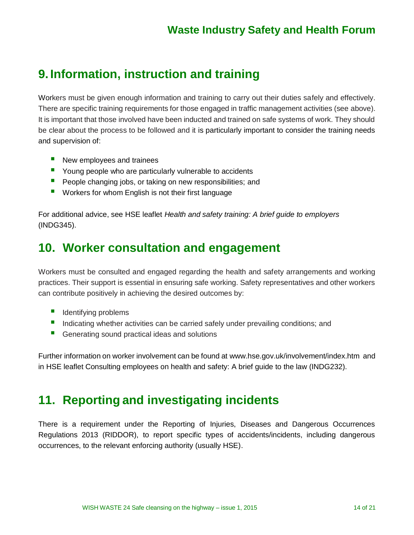### **9. Information, instruction and training**

Workers must be given enough information and training to carry out their duties safely and effectively. There are specific training requirements for those engaged in traffic management activities (see above). It is important that those involved have been inducted and trained on safe systems of work. They should be clear about the process to be followed and it is particularly important to consider the training needs and supervision of:

- New employees and trainees
- **P** Young people who are particularly vulnerable to accidents
- **People changing jobs, or taking on new responsibilities; and**
- **U** Workers for whom English is not their first language

For additional advice, see HSE leaflet *Health and safety training: A brief guide to employers*  (INDG345).

#### **10. Worker consultation and engagement**

Workers must be consulted and engaged regarding the health and safety arrangements and working practices. Their support is essential in ensuring safe working. Safety representatives and other workers can contribute positively in achieving the desired outcomes by:

- $\blacksquare$  Identifying problems
- **Indicating whether activities can be carried safely under prevailing conditions; and**
- Generating sound practical ideas and solutions

Further information on worker involvement can be found at [www.hse.gov.uk/involvement/index.htm](http://www.hse.gov.uk/involvement/index.htm) and in HSE leaflet Consulting employees on health and safety: A brief guide to the law (INDG232).

#### **11. Reporting and investigating incidents**

There is a requirement under the Reporting of Injuries, Diseases and Dangerous Occurrences Regulations 2013 (RIDDOR), to report specific types of accidents/incidents, including dangerous occurrences, to the relevant enforcing authority (usually HSE).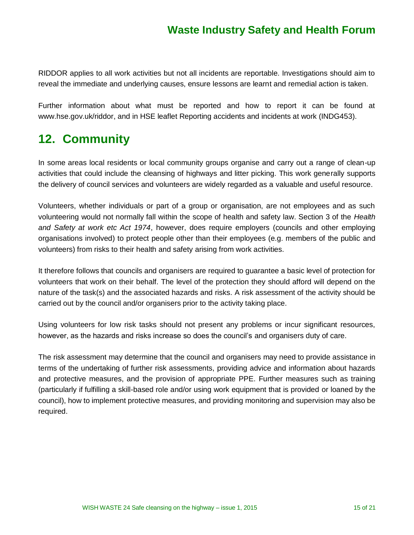RIDDOR applies to all work activities but not all incidents are reportable. Investigations should aim to reveal the immediate and underlying causes, ensure lessons are learnt and remedial action is taken.

Further information about what must be reported and how to report it can be found at [www.hse.gov.uk/riddor,](http://www.hse.gov.uk/riddor) and in HSE leaflet Reporting accidents and incidents at work (INDG453).

#### **12. Community**

In some areas local residents or local community groups organise and carry out a range of clean-up activities that could include the cleansing of highways and litter picking. This work generally supports the delivery of council services and volunteers are widely regarded as a valuable and useful resource.

Volunteers, whether individuals or part of a group or organisation, are not employees and as such volunteering would not normally fall within the scope of health and safety law. Section 3 of the *Health and Safety at work etc Act 1974*, however, does require employers (councils and other employing organisations involved) to protect people other than their employees (e.g. members of the public and volunteers) from risks to their health and safety arising from work activities.

It therefore follows that councils and organisers are required to guarantee a basic level of protection for volunteers that work on their behalf. The level of the protection they should afford will depend on the nature of the task(s) and the associated hazards and risks. A risk assessment of the activity should be carried out by the council and/or organisers prior to the activity taking place.

Using volunteers for low risk tasks should not present any problems or incur significant resources, however, as the hazards and risks increase so does the council's and organisers duty of care.

The risk assessment may determine that the council and organisers may need to provide assistance in terms of the undertaking of further risk assessments, providing advice and information about hazards and protective measures, and the provision of appropriate PPE. Further measures such as training (particularly if fulfilling a skill-based role and/or using work equipment that is provided or loaned by the council), how to implement protective measures, and providing monitoring and supervision may also be required.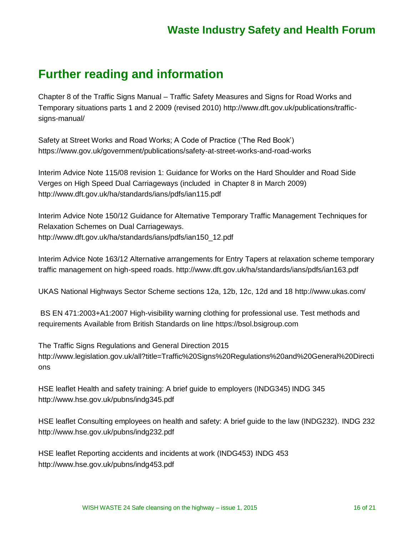#### **Further reading and information**

Chapter 8 of the Traffic Signs Manual – Traffic Safety Measures and Signs for Road Works and Temporary situations parts 1 and 2 2009 (revised 2010) [http://www.dft.gov.uk/publications/traffic](http://www.dft.gov.uk/publications/traffic-signs-manual/)[signs-manual/](http://www.dft.gov.uk/publications/traffic-signs-manual/)

Safety at Street Works and Road Works; A Code of Practice ('The Red Book') <https://www.gov.uk/government/publications/safety-at-street-works-and-road-works>

Interim Advice Note 115/08 revision 1: Guidance for Works on the Hard Shoulder and Road Side Verges on High Speed Dual Carriageways (included in Chapter 8 in March 2009) <http://www.dft.gov.uk/ha/standards/ians/pdfs/ian115.pdf>

Interim Advice Note 150/12 Guidance for Alternative Temporary Traffic Management Techniques for Relaxation Schemes on Dual Carriageways. [http://www.dft.gov.uk/ha/standards/ians/pdfs/ian150\\_12.pdf](http://www.dft.gov.uk/ha/standards/ians/pdfs/ian150_12.pdf)

Interim Advice Note 163/12 Alternative arrangements for Entry Tapers at relaxation scheme temporary traffic management on high-speed roads.<http://www.dft.gov.uk/ha/standards/ians/pdfs/ian163.pdf>

UKAS National Highways Sector Scheme sections 12a, 12b, 12c, 12d and 18<http://www.ukas.com/>

BS EN 471:2003+A1:2007 High-visibility warning clothing for professional use. Test methods and requirements Available from British Standards on line [https://bsol.bsigroup.com](https://bsol.bsigroup.com/)

The Traffic Signs Regulations and General Direction 2015 [http://www.legislation.gov.uk/all?title=Traffic%20Signs%20Regulations%20and%20General%20Directi](http://www.legislation.gov.uk/all?title=Traffic%20Signs%20Regulations%20and%20General%20Directions) [ons](http://www.legislation.gov.uk/all?title=Traffic%20Signs%20Regulations%20and%20General%20Directions)

HSE leaflet Health and safety training: A brief guide to employers (INDG345) INDG 345 <http://www.hse.gov.uk/pubns/indg345.pdf>

HSE leaflet Consulting employees on health and safety: A brief guide to the law (INDG232). INDG 232 <http://www.hse.gov.uk/pubns/indg232.pdf>

HSE leaflet Reporting accidents and incidents at work (INDG453) INDG 453 <http://www.hse.gov.uk/pubns/indg453.pdf>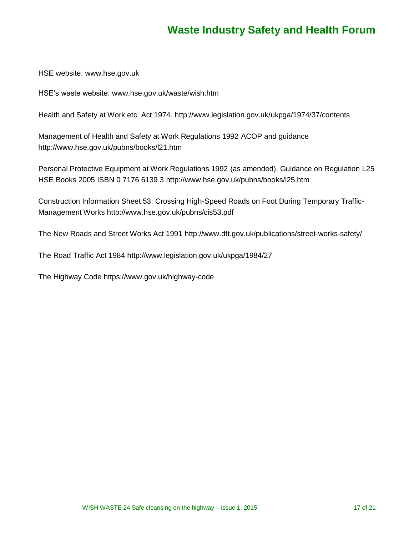HSE website: [www.hse.gov.uk](http://www.hse.gov.uk/)

HSE's waste website: [www.hse.gov.uk/waste/wish.htm](http://www.hse.gov.uk/waste/wish.htm)

Health and Safety at Work etc. Act 1974.<http://www.legislation.gov.uk/ukpga/1974/37/contents>

Management of Health and Safety at Work Regulations 1992 ACOP and guidance <http://www.hse.gov.uk/pubns/books/l21.htm>

Personal Protective Equipment at Work Regulations 1992 (as amended). Guidance on Regulation L25 HSE Books 2005 ISBN 0 7176 6139 3<http://www.hse.gov.uk/pubns/books/l25.htm>

Construction Information Sheet 53: Crossing High-Speed Roads on Foot During Temporary Traffic-Management Works<http://www.hse.gov.uk/pubns/cis53.pdf>

The New Roads and Street Works Act 1991<http://www.dft.gov.uk/publications/street-works-safety/>

The Road Traffic Act 1984<http://www.legislation.gov.uk/ukpga/1984/27>

The Highway Code<https://www.gov.uk/highway-code>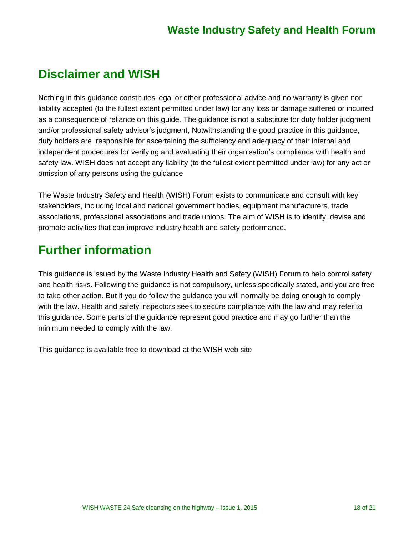### **Disclaimer and WISH**

Nothing in this guidance constitutes legal or other professional advice and no warranty is given nor liability accepted (to the fullest extent permitted under law) for any loss or damage suffered or incurred as a consequence of reliance on this guide. The guidance is not a substitute for duty holder judgment and/or professional safety advisor's judgment, Notwithstanding the good practice in this guidance, duty holders are responsible for ascertaining the sufficiency and adequacy of their internal and independent procedures for verifying and evaluating their organisation's compliance with health and safety law. WISH does not accept any liability (to the fullest extent permitted under law) for any act or omission of any persons using the guidance

The Waste Industry Safety and Health (WISH) Forum exists to communicate and consult with key stakeholders, including local and national government bodies, equipment manufacturers, trade associations, professional associations and trade unions. The aim of WISH is to identify, devise and promote activities that can improve industry health and safety performance.

#### **Further information**

This guidance is issued by the Waste Industry Health and Safety (WISH) Forum to help control safety and health risks. Following the guidance is not compulsory, unless specifically stated, and you are free to take other action. But if you do follow the guidance you will normally be doing enough to comply with the law. Health and safety inspectors seek to secure compliance with the law and may refer to this guidance. Some parts of the guidance represent good practice and may go further than the minimum needed to comply with the law.

This guidance is available free to download at the WISH web site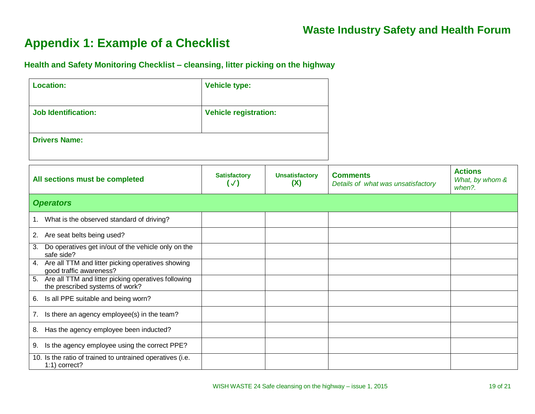### **Appendix 1: Example of a Checklist**

**Health and Safety Monitoring Checklist – cleansing, litter picking on the highway**

| <b>Location:</b>                                                                          | <b>Vehicle type:</b>                |                              |                                                       |                                             |
|-------------------------------------------------------------------------------------------|-------------------------------------|------------------------------|-------------------------------------------------------|---------------------------------------------|
| <b>Job Identification:</b>                                                                | <b>Vehicle registration:</b>        |                              |                                                       |                                             |
| <b>Drivers Name:</b>                                                                      |                                     |                              |                                                       |                                             |
| All sections must be completed                                                            | <b>Satisfactory</b><br>$(\sqrt{2})$ | <b>Unsatisfactory</b><br>(X) | <b>Comments</b><br>Details of what was unsatisfactory | <b>Actions</b><br>What, by whom &<br>when?. |
| <b>Operators</b>                                                                          |                                     |                              |                                                       |                                             |
| 1. What is the observed standard of driving?                                              |                                     |                              |                                                       |                                             |
| 2. Are seat belts being used?                                                             |                                     |                              |                                                       |                                             |
| Do operatives get in/out of the vehicle only on the<br>3.<br>safe side?                   |                                     |                              |                                                       |                                             |
| 4. Are all TTM and litter picking operatives showing<br>good traffic awareness?           |                                     |                              |                                                       |                                             |
| 5. Are all TTM and litter picking operatives following<br>the prescribed systems of work? |                                     |                              |                                                       |                                             |
| 6. Is all PPE suitable and being worn?                                                    |                                     |                              |                                                       |                                             |
| 7. Is there an agency employee(s) in the team?                                            |                                     |                              |                                                       |                                             |
| Has the agency employee been inducted?<br>8.                                              |                                     |                              |                                                       |                                             |
| 9. Is the agency employee using the correct PPE?                                          |                                     |                              |                                                       |                                             |
| 10. Is the ratio of trained to untrained operatives (i.e.<br>1:1) correct?                |                                     |                              |                                                       |                                             |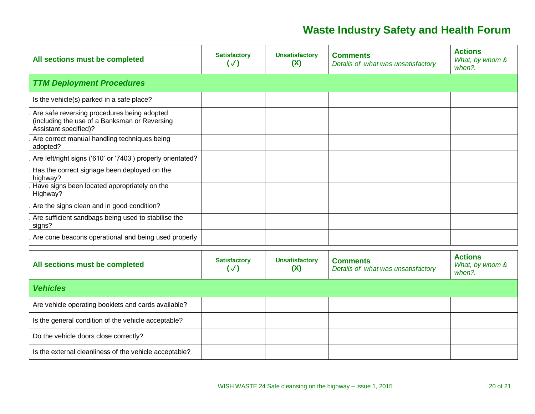| All sections must be completed                                                                                        | <b>Satisfactory</b><br>$(\sqrt{2})$  | <b>Unsatisfactory</b><br>(X) | <b>Comments</b><br>Details of what was unsatisfactory | <b>Actions</b><br>What, by whom &<br>when?. |
|-----------------------------------------------------------------------------------------------------------------------|--------------------------------------|------------------------------|-------------------------------------------------------|---------------------------------------------|
| <b>TTM Deployment Procedures</b>                                                                                      |                                      |                              |                                                       |                                             |
| Is the vehicle(s) parked in a safe place?                                                                             |                                      |                              |                                                       |                                             |
| Are safe reversing procedures being adopted<br>(including the use of a Banksman or Reversing<br>Assistant specified)? |                                      |                              |                                                       |                                             |
| Are correct manual handling techniques being<br>adopted?                                                              |                                      |                              |                                                       |                                             |
| Are left/right signs ('610' or '7403') properly orientated?                                                           |                                      |                              |                                                       |                                             |
| Has the correct signage been deployed on the<br>highway?                                                              |                                      |                              |                                                       |                                             |
| Have signs been located appropriately on the<br>Highway?                                                              |                                      |                              |                                                       |                                             |
| Are the signs clean and in good condition?                                                                            |                                      |                              |                                                       |                                             |
| Are sufficient sandbags being used to stabilise the<br>signs?                                                         |                                      |                              |                                                       |                                             |
| Are cone beacons operational and being used properly                                                                  |                                      |                              |                                                       |                                             |
| All sections must be completed                                                                                        | <b>Satisfactory</b><br>$(\sqrt{ } )$ | <b>Unsatisfactory</b><br>(X) | <b>Comments</b><br>Details of what was unsatisfactory | <b>Actions</b><br>What, by whom &<br>when?. |
| <b>Vehicles</b>                                                                                                       |                                      |                              |                                                       |                                             |
| Are vehicle operating booklets and cards available?                                                                   |                                      |                              |                                                       |                                             |
| Is the general condition of the vehicle acceptable?                                                                   |                                      |                              |                                                       |                                             |
| Do the vehicle doors close correctly?                                                                                 |                                      |                              |                                                       |                                             |
| Is the external cleanliness of the vehicle acceptable?                                                                |                                      |                              |                                                       |                                             |